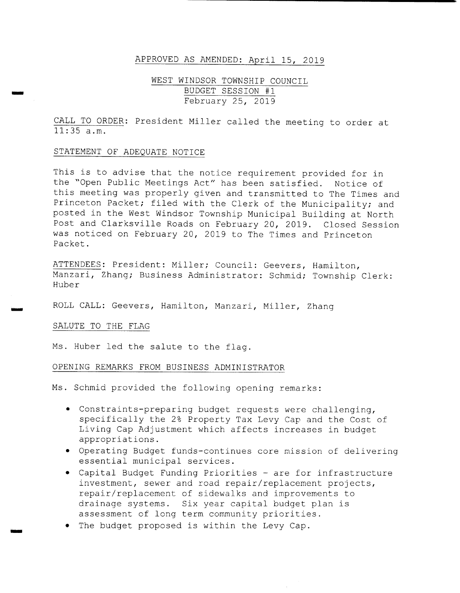## APPROVED AS AMENDED: April 15, 2019

# WEST WINDSOR TOWNSHIP COUNCIL BUDGET SESSION #1 February 25, 2019

CALL TO ORDER: President Miller called the meeting to order at  $\overline{11:35}$  a.m.

## STATEMENT OF ADEQUATE NOTICE

This is to advise that the notice requirement provided for in the "Open Public Meetings Act" has been satisfied. Notice of this meeting was properly given and transmitted to The Times and Princeton Packet; filed with the Clerk of the Municipality; and posted in the West Windsor Township Municipal Building at North Post and Clarksville Roads on February 20, 2019. Closed Session was noticed on February 20, <sup>2019</sup> to The Times and Princeton Packet .

ATTENDEES: President: Miller; Council: Geevers, Hamilton, Manzari, Zhang; Business Administrator: Schmid; Township Clerk: Huber

ROLL CALL: Geevers, Hamilton, Manzari, Miller, Zhang

### SALUTE TO THE FLAG

سنت

Ms. Huber led the salute to the flag.

# OPENING REMARKS FROM BUSINESS ADMINISTRATOR

Ms. Schmid provided the following opening remarks:

- Constraints- preparing budget requests were challenging, specifically the 2% Property Tax Levy Cap and the Cost of Living Cap Adjustment which affects increases in budget appropriations .
- Operating Budget funds- continues core mission of delivering essential municipal services .
- Capital Budget Funding Priorities are for infrastructure investment, sewer and road repair/ replacement projects, repair/ replacement of sidewalks and improvements to drainage systems. Six year capital budget plan is assessment of long term community priorities .
- The budget proposed is within the Levy Cap.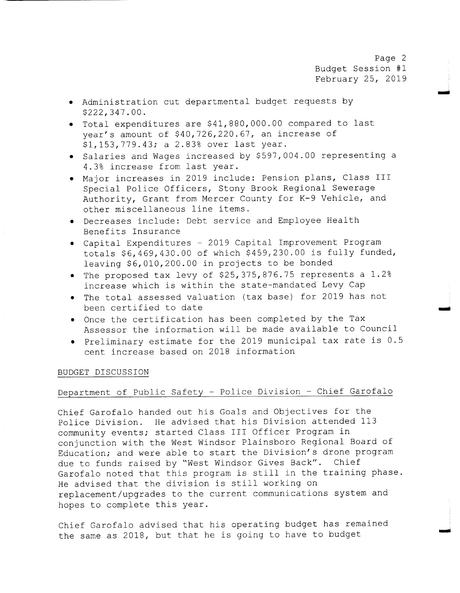Page 2 Budget Session #1 February 25, 2019

- Administration cut departmental budget requests by 222, 347 . 00 .
- Total expenditures are \$ 41, 880, 000 . 00 compared to last year's amount of \$40,726,220.67, an increase of \$1, 153, 779. 43; a 2.83% over last year.
- Salaries and Wages increased by \$597,004.00 representing a 4 . 3% increase from last year.
- $\bullet$  Major increases in 2019 include: Pension plans, Class III Special Police Officers, Stony Brook Regional Sewerage Authority, Grant from Mercer County for K-9 Vehicle, and other miscellaneous line items .
- . Decreases include: Debt service and Employee Health Benefits Insurance
- Capital Expenditures 2019 Capital Improvement Program totals \$6,469,430.00 of which \$459,230.00 is fully funded, leaving \$6,010,200.00 in projects to be bonded
- The proposed tax levy of \$25, 375, 876 . 75 represents <sup>a</sup> 1 . 2% increase which is within the state-mandated Levy Cap
- The total assessed valuation (tax base) for <sup>2019</sup> has not been certified to date
- Once the certification has been completed by the Tax Assessor the information will be made available to Council
- Preliminary estimate for the 2019 municipal tax rate is 0 . 5 cent increase based on 2018 information

### BUDGET DISCUSSION

# Department of Public Safety - Police Division - Chief Garofalo

Chief Garofalo handed out his Goals and Objectives for the Police Division. He advised that his Division attended 113 community events; started Class III Officer Program in conjunction with the West Windsor Plainsboro Regional Board of Education; and were able to start the Division's drone program due to funds raised by "West Windsor Gives Back". Chief Garofalo noted that this program is still in the training phase . He advised that the division is still working on replacement/ upgrades to the current communications system and hopes to complete this year.

Chief Garofalo advised that his operating budget has remained the same as 2018, but that he is going to have to budget

wimp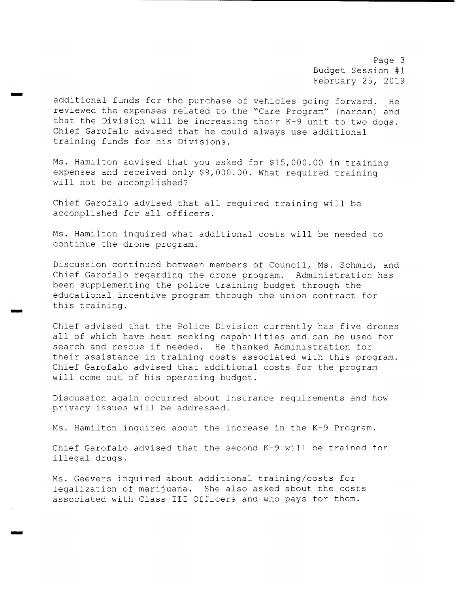Page 3 Budget Session #1 February 25, 2019

additional funds for the purchase of vehicles going forward. He reviewed the expenses related to the " Care Program" ( narcan) and that the Division will be increasing their  $K-9$  unit to two dogs. Chief Garofalo advised that he could always use additional training funds for his Divisions .

Ms. Hamilton advised that you asked for \$15,000.00 in training expenses and received only \$9,000.00. What required training will not be accomplished?

Chief Garofalo advised that all required training will be accomplished for all officers .

iota

rr..

Ms . Hamilton inquired what additional costs will be needed to continue the drone program.

Discussion continued between members of Council, Ms. Schmid, and Chief Garofalo regarding the drone program. Administration has been supplementing the police training budget through the educational incentive program through the union contract for this training.

Chief advised that the Police Division currently has five drones all of which have heat seeking capabilities and can be used for search and rescue if needed. He thanked Administration for their assistance in training costs associated with this program. Chief Garofalo advised that additional costs for the program will come out of his operating budget.

Discussion again occurred about insurance requirements and how privacy issues will be addressed.

Ms. Hamilton inquired about the increase in the K-9 Program.

Chief Garofalo advised that the second K-9 will be trained for illegal drugs .

Ms. Geevers inquired about additional training/ costs for legalization of marijuana. She also asked about the costs associated with Class III Officers and who pays for them.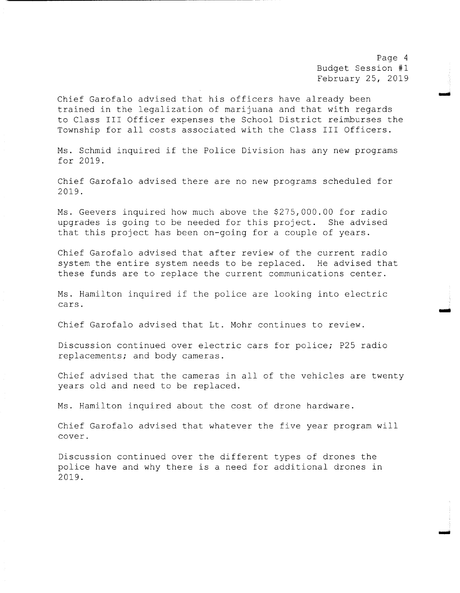Page <sup>4</sup> Budget Session #1 February 25, 2019

Imo

.<br>فنس

Chief Garofalo advised that his officers have already been trained in the legalization of marijuana and that with regards to Class III Officer expenses the School District reimburses the Township for all costs associated with the Class III Officers.

Ms. Schmid inquired if the Police Division has any new programs for 2019 .

Chief Garofalo advised there are no new programs scheduled for 2019 .

Ms. Geevers inquired how much above the \$275,000.00 for radio upgrades is going to be needed for this project. She advised that this project has been on-going for a couple of years.

Chief Garofalo advised that after review of the current radio system the entire system needs to be replaced. He advised that these funds are to replace the current communications center.

Ms . Hamilton inquired if the police are looking into electric cars .

Chief Garofalo advised that Lt . Mohr continues to review.

Discussion continued over electric cars for police; P25 radio replacements; and body cameras .

Chief advised that the cameras in all of the vehicles are twenty years old and need to be replaced.

Ms. Hamilton inquired about the cost of drone hardware.

Chief Garofalo advised that whatever the five year program will cover.

Discussion continued over the different types of drones the police have and why there is <sup>a</sup> need for additional drones in 2019 .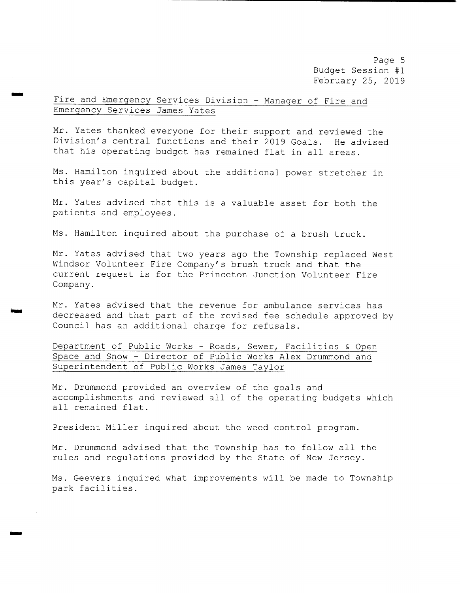Page 5 Budget Session #1 February 25, 2019

Fire and Emergency Services Division - Manager of Fire and Emergency Services James Yates

mow

wars

Mr. Yates thanked everyone for their support and reviewed the Division's central functions and their 2019 Goals. He advised that his operating budget has remained flat in all areas .

Ms. Hamilton inquired about the additional power stretcher in this year's capital budget.

Mr. Yates advised that this is <sup>a</sup> valuable asset for both the patients and employees .

Ms. Hamilton inquired about the purchase of a brush truck.

Mr. Yates advised that two years ago the Township replaced West Windsor Volunteer Fire Company's brush truck and that the current request is for the Princeton Junction Volunteer Fire Company.

Mr. Yates advised that the revenue for ambulance services has decreased and that part of the revised fee schedule approved by Council has an additional charge for refusals .

Department of Public Works - Roads, Sewer, Facilities & Open Space and Snow - Director of Public Works Alex Drummond and Superintendent of Public Works James Taylor

Mr. Drummond provided an overview of the goals and accomplishments and reviewed all of the operating budgets which all remained flat.

President Miller inquired about the weed control program.

Mr. Drummond advised that the Township has to follow all the rules and regulations provided by the State of New Jersey.

Ms . Geevers inquired what improvements will be made to Township park facilities .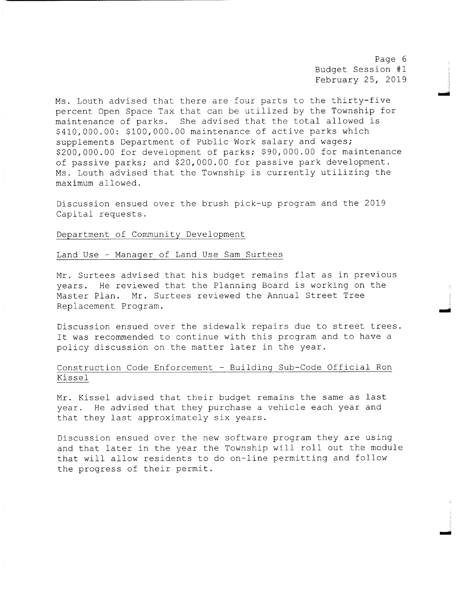Page <sup>6</sup> Budget Session #1 February 25, 2019

ان<br>ا

r

Ms. Louth advised that there are four parts to the thirty-five percent Open Space Tax that can be utilized by the Township for maintenance of parks. She advised that the total allowed is \$410,000.00: \$100,000.00 maintenance of active parks which supplements Department of Public Work salary and wages; 200, 000 . 00 for development of parks; \$90, 000 . 00 for maintenance of passive parks; and \$20,000.00 for passive park development. Ms. Louth advised that the Township is currently utilizing the maximum allowed.

Discussion ensued over the brush pick- up program and the 2019 Capital requests .

# Department of Community Development

### Land Use - Manager of Land Use Sam Surtees

Mr. Surtees advised that his budget remains flat as in previous years. He reviewed that the Planning Board is working on the Master Plan. Mr. Surtees reviewed the Annual Street Tree Replacement Program.

Discussion ensued over the sidewalk repairs due to street trees . It was recommended to continue with this program and to have <sup>a</sup> policy discussion on the matter later in the year.

# Construction Code Enforcement - Building Sub-Code Official Ron Kissel

Mr. Kissel advised that their budget remains the same as last year. He advised that they purchase <sup>a</sup> vehicle each year and that they last approximately six years .

Discussion ensued over the new software program they are using and that later in the year the Township will roll out the module that will allow residents to do on-line permitting and follow the progress of their permit .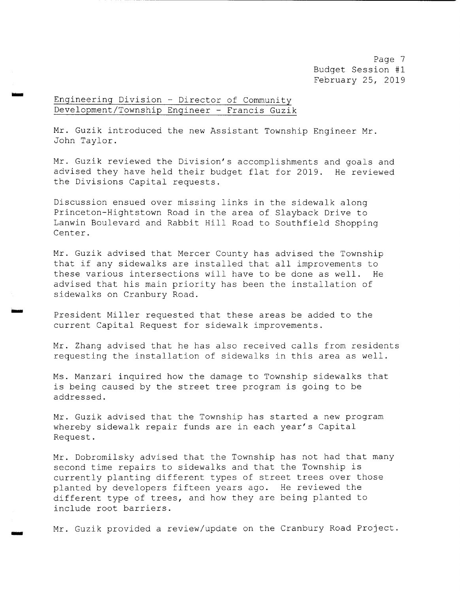Page <sup>7</sup> Budget Session #1 February 25, 2019

Engineering Division - Director of Community Development/ Township Engineer - Francis Guzik

ism

tom

Mr. Guzik introduced the new Assistant Township Engineer Mr. John Taylor.

Mr. Guzik reviewed the Division's accomplishments and goals and advised they have held their budget flat for 2019. He reviewed the Divisions Capital requests .

Discussion ensued over missing links in the sidewalk along Princeton-Hightstown Road in the area of Slayback Drive to Lanwin Boulevard and Rabbit Hill Road to Southfield Shopping Center.

Mr. Guzik advised that Mercer County has advised the Township that if any sidewalks are installed that all improvements to<br>these various intersections will have to be done as well. He these various intersections will have to be done as well. advised that his main priority has been the installation of sidewalks on Cranbury Road.

President Miller requested that these areas be added to the current Capital Request for sidewalk improvements .

Mr. Zhang advised that he has also received calls from residents requesting the installation of sidewalks in this area as well .

Ms . Manzari inquired how the damage to Township sidewalks that is being caused by the street tree program is going to be addressed.

Mr. Guzik advised that the Township has started <sup>a</sup> new program whereby sidewalk repair funds are in each year's Capital Request .

Mr. Dobromilsky advised that the Township has not had that many second time repairs to sidewalks and that the Township is currently planting different types of street trees over those planted by developers fifteen years ago. He reviewed the different type of trees, and how they are being planted to include root barriers .

Mr. Guzik provided a review/update on the Cranbury Road Project.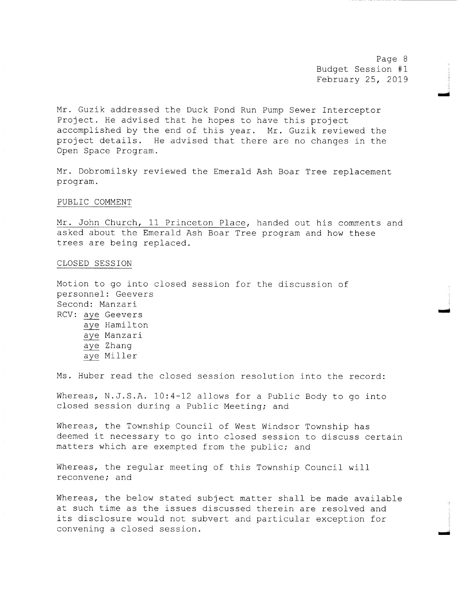Page <sup>8</sup> Budget Session #1 February 25, 2019

mid

ai

r..

Mr. Guzik addressed the Duck Pond Run Pump Sewer Interceptor Project. He advised that he hopes to have this project accomplished by the end of this year. Mr. Guzik reviewed the project details . He advised that there are no changes in the Open Space Program.

Mr. Dobromilsky reviewed the Emerald Ash Boar Tree replacement program.

#### PUBLIC COMMENT

Mr. John Church, <sup>11</sup> Princeton Place, handed out his comments and asked about the Emerald Ash Boar Tree program and how these trees are being replaced.

## CLOSED SESSION

Motion to go into closed session for the discussion of personnel : Geevers Second: Manzari RCV: aye Geevers aye Hamilton aye Manzari aye Zhang aye Miller

Ms. Huber read the closed session resolution into the record:

Whereas, N.J.S.A. 10:4-12 allows for a Public Body to go into closed session during <sup>a</sup> Public Meeting; and

Whereas, the Township Council of West Windsor Township has deemed it necessary to go into closed session to discuss certain matters which are exempted from the public; and

Whereas, the regular meeting of this Township Council will reconvene; and

Whereas, the below stated subject matter shall be made available at such time as the issues discussed therein are resolved and its disclosure would not subvert and particular exception for convening <sup>a</sup> closed session.